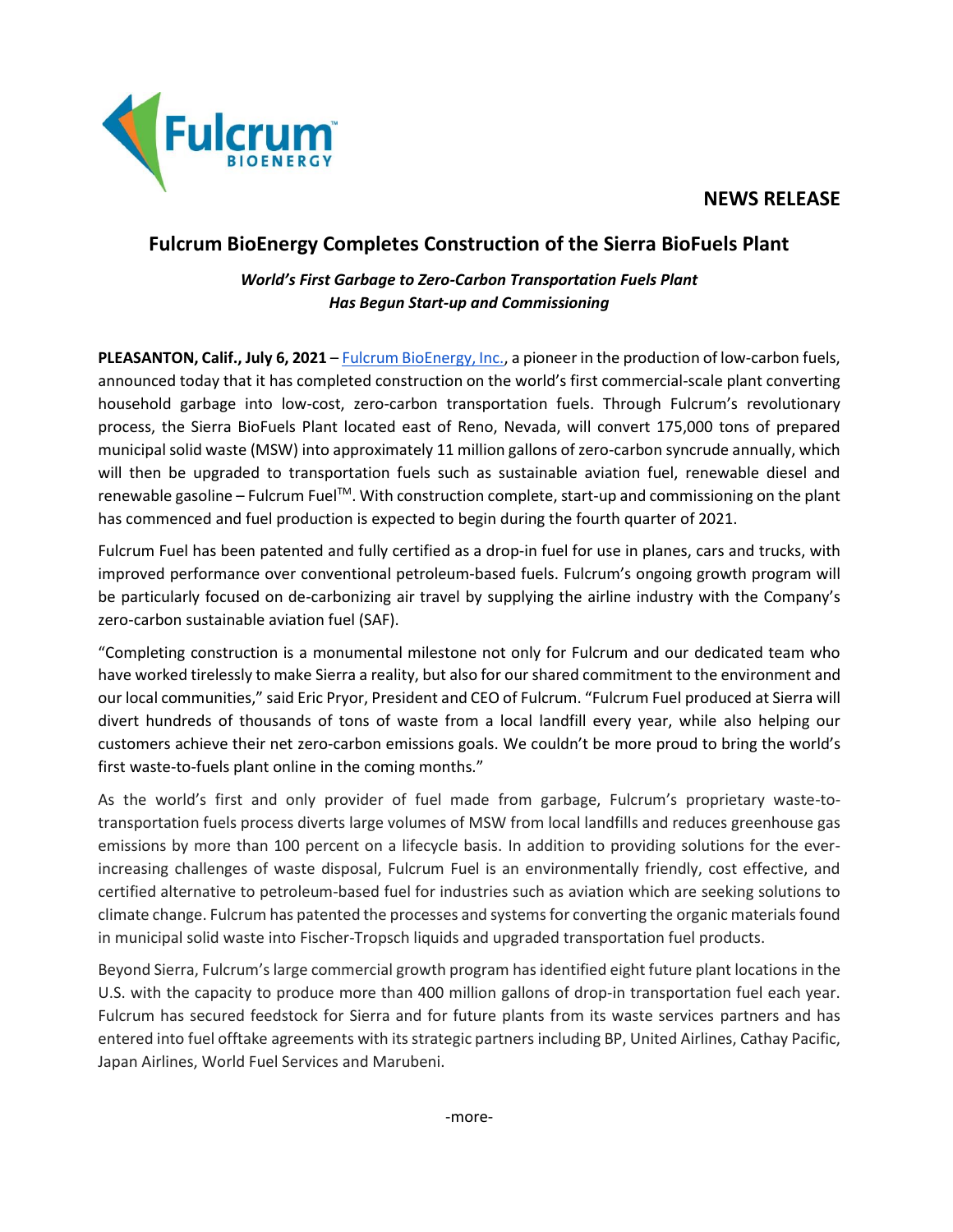## **NEWS RELEASE**



## **Fulcrum BioEnergy Completes Construction of the Sierra BioFuels Plant**

## *World's First Garbage to Zero-Carbon Transportation Fuels Plant Has Begun Start-up and Commissioning*

**PLEASANTON, Calif., July 6, 2021** – [Fulcrum BioEnergy, Inc.,](http://fulcrum-bioenergy.com/) a pioneer in the production of low-carbon fuels, announced today that it has completed construction on the world's first commercial-scale plant converting household garbage into low-cost, zero-carbon transportation fuels. Through Fulcrum's revolutionary process, the Sierra BioFuels Plant located east of Reno, Nevada, will convert 175,000 tons of prepared municipal solid waste (MSW) into approximately 11 million gallons of zero-carbon syncrude annually, which will then be upgraded to transportation fuels such as sustainable aviation fuel, renewable diesel and renewable gasoline – Fulcrum Fuel<sup>™</sup>. With construction complete, start-up and commissioning on the plant has commenced and fuel production is expected to begin during the fourth quarter of 2021.

Fulcrum Fuel has been patented and fully certified as a drop-in fuel for use in planes, cars and trucks, with improved performance over conventional petroleum-based fuels. Fulcrum's ongoing growth program will be particularly focused on de-carbonizing air travel by supplying the airline industry with the Company's zero-carbon sustainable aviation fuel (SAF).

"Completing construction is a monumental milestone not only for Fulcrum and our dedicated team who have worked tirelessly to make Sierra a reality, but also for our shared commitment to the environment and our local communities," said Eric Pryor, President and CEO of Fulcrum. "Fulcrum Fuel produced at Sierra will divert hundreds of thousands of tons of waste from a local landfill every year, while also helping our customers achieve their net zero-carbon emissions goals. We couldn't be more proud to bring the world's first waste-to-fuels plant online in the coming months."

As the world's first and only provider of fuel made from garbage, Fulcrum's proprietary waste-totransportation fuels process diverts large volumes of MSW from local landfills and reduces greenhouse gas emissions by more than 100 percent on a lifecycle basis. In addition to providing solutions for the everincreasing challenges of waste disposal, Fulcrum Fuel is an environmentally friendly, cost effective, and certified alternative to petroleum-based fuel for industries such as aviation which are seeking solutions to climate change. Fulcrum has patented the processes and systems for converting the organic materials found in municipal solid waste into Fischer-Tropsch liquids and upgraded transportation fuel products.

Beyond Sierra, Fulcrum's large commercial growth program has identified eight future plant locations in the U.S. with the capacity to produce more than 400 million gallons of drop-in transportation fuel each year. Fulcrum has secured feedstock for Sierra and for future plants from its waste services partners and has entered into fuel offtake agreements with its strategic partners including BP, United Airlines, Cathay Pacific, Japan Airlines, World Fuel Services and Marubeni.